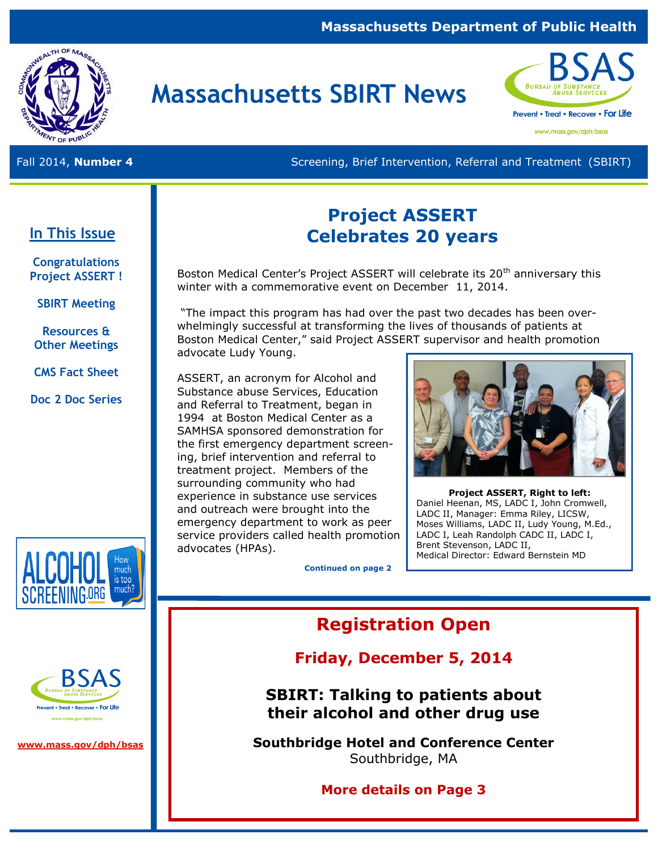### **Massachusetts Department of Public Health**



# **Massachusetts SBIRT News**



www.mass.gov/dph/bsas

Fall 2014, **Number 4 Screening, Brief Intervention, Referral and Treatment (SBIRT)** Screening, Brief Intervention, Referral and Treatment (SBIRT)

# **In This Issue**

**Congratulations Project ASSERT !**

**SBIRT Meeting**

**Resources & Other Meetings**

**CMS Fact Sheet** 

**Doc 2 Doc Series** 



Boston Medical Center's Project ASSERT will celebrate its 20<sup>th</sup> anniversary this winter with a commemorative event on December 11, 2014.

"The impact this program has had over the past two decades has been overwhelmingly successful at transforming the lives of thousands of patients at Boston Medical Center," said Project ASSERT supervisor and health promotion advocate Ludy Young.

ASSERT, an acronym for Alcohol and Substance abuse Services, Education and Referral to Treatment, began in 1994 at Boston Medical Center as a SAMHSA sponsored demonstration for the first emergency department screening, brief intervention and referral to treatment project. Members of the surrounding community who had experience in substance use services and outreach were brought into the emergency department to work as peer service providers called health promotion advocates (HPAs).



**Project ASSERT, Right to left:** Daniel Heenan, MS, LADC I, John Cromwell, LADC II, Manager: Emma Riley, LICSW, Moses Williams, LADC II, Ludy Young, M.Ed., LADC I, Leah Randolph CADC II, LADC I, Brent Stevenson, LADC II, Medical Director: Edward Bernstein MD

**Continued on page 2**

# **Registration Open**

# **Friday, December 5, 2014**

**SBIRT: Talking to patients about their alcohol and other drug use** 

**Southbridge Hotel and Conference Center**  Southbridge, MA

**More details on Page 3**





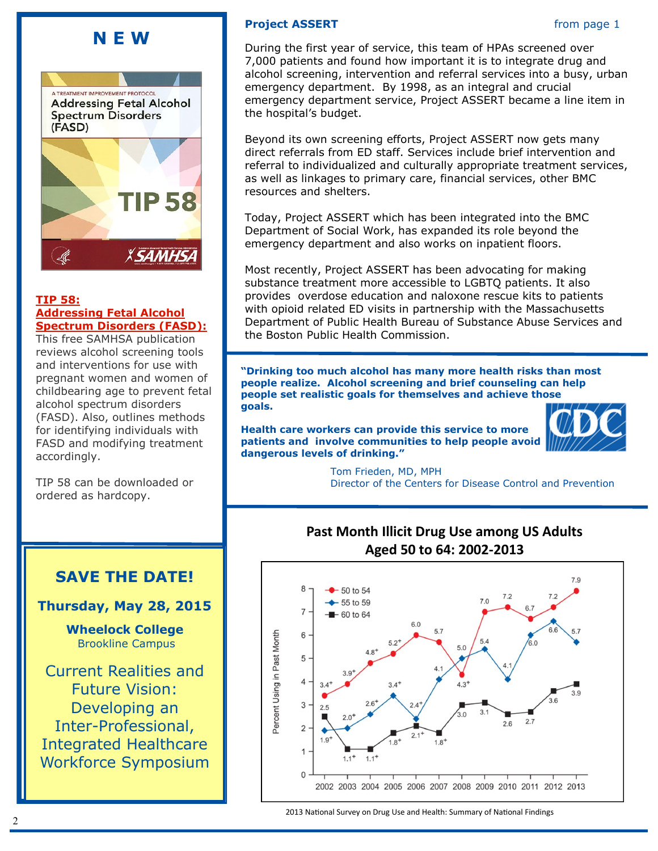# **N E W**



#### **[TIP 58:](http://store.samhsa.gov/product/TIP-58-Addressing-Fetal-Alcohol-Spectrum-Disorders-FASD-/SMA13-4803)  [Addressing Fetal Alcohol](http://store.samhsa.gov/product/TIP-58-Addressing-Fetal-Alcohol-Spectrum-Disorders-FASD-/SMA13-4803)  [Spectrum Disorders \(FASD\):](http://store.samhsa.gov/product/TIP-58-Addressing-Fetal-Alcohol-Spectrum-Disorders-FASD-/SMA13-4803)**

This free SAMHSA publication reviews alcohol screening tools and interventions for use with pregnant women and women of childbearing age to prevent fetal alcohol spectrum disorders (FASD). Also, outlines methods for identifying individuals with FASD and modifying treatment accordingly.

TIP 58 can be downloaded or ordered as hardcopy.

# **SAVE THE DATE!**

**Thursday, May 28, 2015**

**Wheelock College** Brookline Campus

Current Realities and Future Vision: Developing an Inter-Professional, Integrated Healthcare Workforce Symposium

### **Project ASSERT** from page 1

During the first year of service, this team of HPAs screened over 7,000 patients and found how important it is to integrate drug and alcohol screening, intervention and referral services into a busy, urban emergency department. By 1998, as an integral and crucial emergency department service, Project ASSERT became a line item in the hospital's budget.

Beyond its own screening efforts, Project ASSERT now gets many direct referrals from ED staff. Services include brief intervention and referral to individualized and culturally appropriate treatment services, as well as linkages to primary care, financial services, other BMC resources and shelters.

Today, Project ASSERT which has been integrated into the BMC Department of Social Work, has expanded its role beyond the emergency department and also works on inpatient floors.

Most recently, Project ASSERT has been advocating for making substance treatment more accessible to LGBTQ patients. It also provides overdose education and naloxone rescue kits to patients with opioid related ED visits in partnership with the Massachusetts Department of Public Health Bureau of Substance Abuse Services and the Boston Public Health Commission.

**"Drinking too much alcohol has many more health risks than most people realize. Alcohol screening and brief counseling can help people set realistic goals for themselves and achieve those goals.** 

**Health care workers can provide this service to more patients and involve communities to help people avoid dangerous levels of drinking."**



 Tom Frieden, MD, MPH Director of the Centers for Disease Control and Prevention

# **Past Month Illicit Drug Use among US Adults Aged 50 to 64: 2002-2013**



2013 National Survey on Drug Use and Health: Summary of National Findings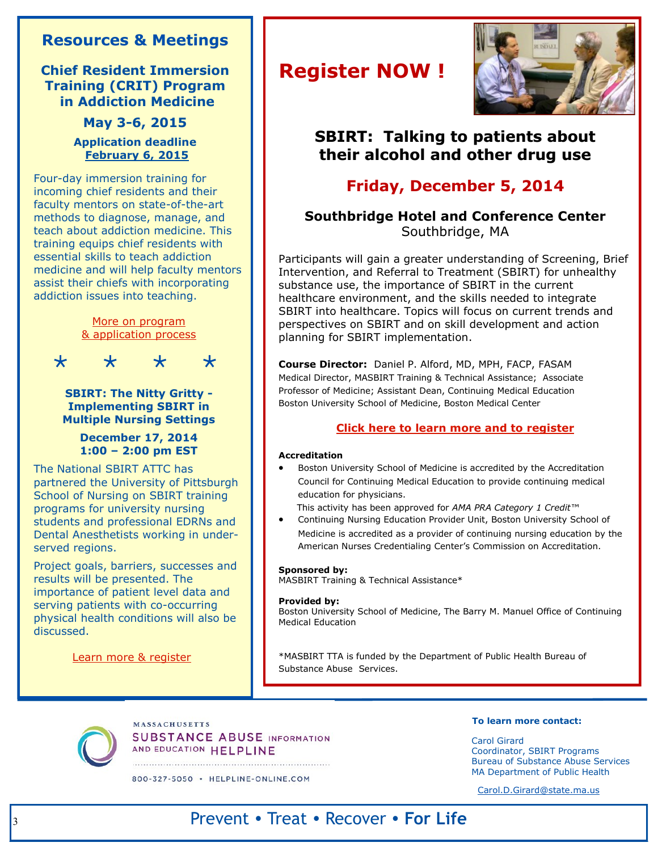# **Resources & Meetings**

**Chief Resident Immersion Training (CRIT) Program in Addiction Medicine**

### **May 3-6, 2015 Application deadline February 6, 2015**

Four-day immersion training for incoming chief residents and their faculty mentors on state-of-the-art methods to diagnose, manage, and teach about addiction medicine. This training equips chief residents with essential skills to teach addiction medicine and will help faculty mentors assist their chiefs with incorporating addiction issues into teaching.

> [More on program](http://www.bumc.bu.edu/care/education-and-training-programs/crit/)  [& application process](http://www.bumc.bu.edu/care/education-and-training-programs/crit/)

\* \* \* \*

**SBIRT: The Nitty Gritty - Implementing SBIRT in Multiple Nursing Settings**

### **December 17, 2014 1:00 – 2:00 pm EST**

The National SBIRT ATTC has partnered the University of Pittsburgh School of Nursing on SBIRT training programs for university nursing students and professional EDRNs and Dental Anesthetists working in underserved regions.

Project goals, barriers, successes and results will be presented. The importance of patient level data and serving patients with co-occurring physical health conditions will also be discussed.

[Learn more & register](http://ireta.org/node/1003?utm_source=iContact&utm_medium=email&utm_campaign=IRETA&utm_content=)

# **Register NOW !**



# **SBIRT: Talking to patients about their alcohol and other drug use**

# **Friday, December 5, 2014**

### **Southbridge Hotel and Conference Center**  Southbridge, MA

Participants will gain a greater understanding of Screening, Brief Intervention, and Referral to Treatment (SBIRT) for unhealthy substance use, the importance of SBIRT in the current healthcare environment, and the skills needed to integrate SBIRT into healthcare. Topics will focus on current trends and perspectives on SBIRT and on skill development and action planning for SBIRT implementation.

**Course Director:** Daniel P. Alford, MD, MPH, FACP, FASAM Medical Director, MASBIRT Training & Technical Assistance; Associate Professor of Medicine; Assistant Dean, Continuing Medical Education Boston University School of Medicine, Boston Medical Center

### **[Click here to learn more and to register](http://www.bumc.bu.edu/cme/educational-opportunities/live-meetings/sbirt-live-conference/registration/)**

#### **Accreditation**

 Boston University School of Medicine is accredited by the Accreditation Council for Continuing Medical Education to provide continuing medical education for physicians.

This activity has been approved for *AMA PRA Category 1 Credit™*

 Continuing Nursing Education Provider Unit, Boston University School of Medicine is accredited as a provider of continuing nursing education by the American Nurses Credentialing Center's Commission on Accreditation.

#### **Sponsored by:**

MASBIRT Training & Technical Assistance\*

#### **Provided by:**

Boston University School of Medicine, The Barry M. Manuel Office of Continuing Medical Education

\*MASBIRT TTA is funded by the Department of Public Health Bureau of Substance Abuse Services.



**MASSACHUSETTS SUBSTANCE ABUSE INFORMATION** AND EDUCATION HELPLINE

800-327-5050 · HELPLINE-ONLINE.COM

#### **To learn more contact:**

Carol Girard Coordinator, SBIRT Programs Bureau of Substance Abuse Services MA Department of Public Health

[Carol.D.Girard@state.ma.us](mailto:Carol.D.Girard@state.ma.us) 

# Prevent • Treat • Recover • **For Life**